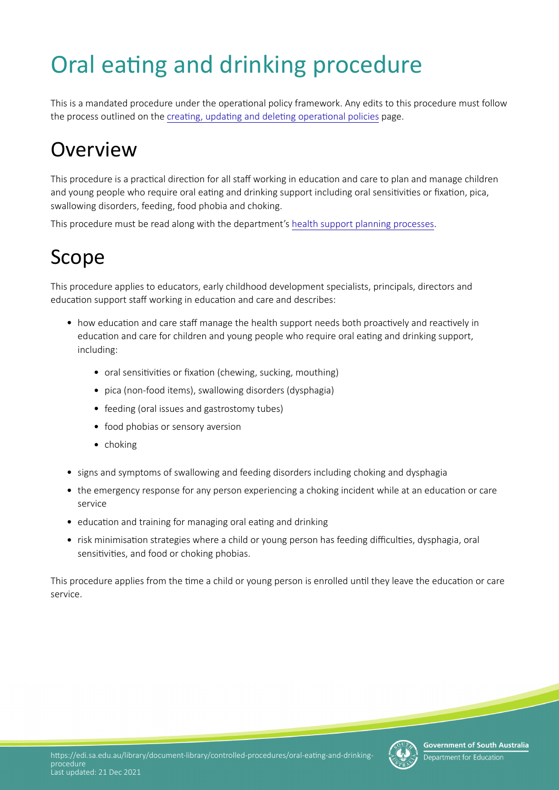# Oral eating and drinking procedure

This is a mandated procedure under the operational policy framework. Any edits to this procedure must follow the process outlined on the creating, updating and deleting operational policies page.

# **Overview**

This procedure is a practical direction for all staff working in education and care to plan and manage children and young people who require oral eating and drinking support including oral sensitivities or fixation, pica, swallowing disorders, feeding, food phobia and choking.

This procedure must be read along with the department's [health support planning processes](https://www.education.sa.gov.au/parents-and-families/health-and-disability-support/health-and-complex-needs-support-and-management/health-support-planning-children-and-students-education-and-care-settings).

# Scope

This procedure applies to educators, early childhood development specialists, principals, directors and education support staff working in education and care and describes:

- how education and care staff manage the health support needs both proactively and reactively in education and care for children and young people who require oral eating and drinking support, including:
	- oral sensitivities or fixation (chewing, sucking, mouthing)
	- pica (non-food items), swallowing disorders (dysphagia)
	- feeding (oral issues and gastrostomy tubes)
	- food phobias or sensory aversion
	- choking
- signs and symptoms of swallowing and feeding disorders including choking and dysphagia
- the emergency response for any person experiencing a choking incident while at an education or care service
- education and training for managing oral eating and drinking
- risk minimisation strategies where a child or young person has feeding difficulties, dysphagia, oral sensitvites, and food or choking phobias.

This procedure applies from the time a child or young person is enrolled until they leave the education or care service.



**Government of South Australia** Department for Education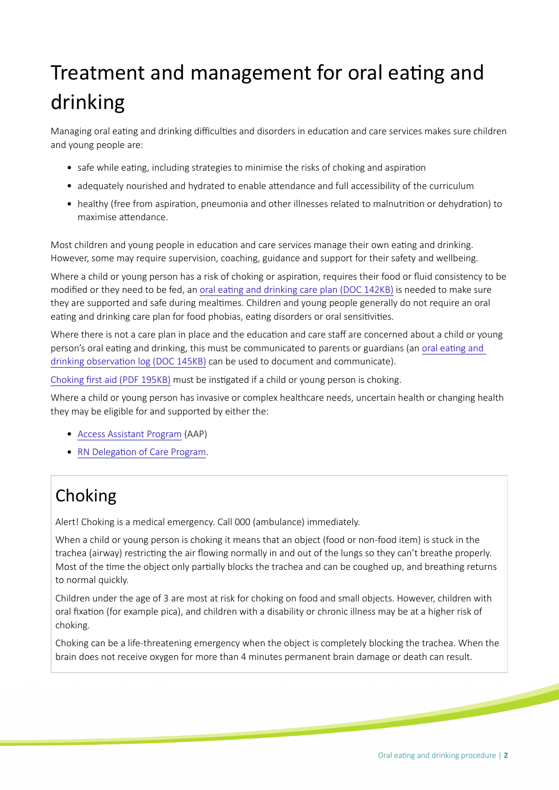# Treatment and management for oral eatng and drinking

Managing oral eating and drinking difficulties and disorders in education and care services makes sure children and young people are:

- safe while eating, including strategies to minimise the risks of choking and aspiration
- adequately nourished and hydrated to enable attendance and full accessibility of the curriculum
- healthy (free from aspiration, pneumonia and other illnesses related to malnutrition or dehydration) to maximise atendance.

Most children and young people in education and care services manage their own eating and drinking. However, some may require supervision, coaching, guidance and support for their safety and wellbeing.

Where a child or young person has a risk of choking or aspiration, requires their food or fluid consistency to be modifed or they need to be fed, an [oral eatng and drinking care plan \(DOC 142KB\)](https://www.education.sa.gov.au/sites/default/files/hsp210-oral-eating-drinking.docx) is needed to make sure they are supported and safe during mealtmes. Children and young people generally do not require an oral eating and drinking care plan for food phobias, eating disorders or oral sensitivities.

Where there is not a care plan in place and the education and care staff are concerned about a child or young person's oral eatng and drinking, this must be communicated to parents or guardians (an [oral eatng and](https://www.education.sa.gov.au/sites/g/files/net691/f/hsp211-oral-eating-drinking-observation-log.doc)  drinking observation log (DOC 145KB) can be used to document and communicate).

[Choking frst aid \(PDF 195KB\)](https://stjohn.org.au/assets/uploads/fact%20sheets/english/Fact%20sheets_choking%20adult.pdf) must be instgated if a child or young person is choking.

Where a child or young person has invasive or complex healthcare needs, uncertain health or changing health they may be eligible for and supported by either the:

- [Access Assistant Program](https://www.education.sa.gov.au/supporting-students/health-e-safety-and-wellbeing/health-support-planning/managing-health-education-and-care/health-support-services-and-programs/access-assistant-program-aap) (AAP)
- RN Delegation of Care Program.

## Choking

Alert! Choking is a medical emergency. Call 000 (ambulance) immediately.

When a child or young person is choking it means that an object (food or non-food item) is stuck in the trachea (airway) restricting the air flowing normally in and out of the lungs so they can't breathe properly. Most of the tme the object only partally blocks the trachea and can be coughed up, and breathing returns to normal quickly.

Children under the age of 3 are most at risk for choking on food and small objects. However, children with oral fixation (for example pica), and children with a disability or chronic illness may be at a higher risk of choking.

Choking can be a life-threatening emergency when the object is completely blocking the trachea. When the brain does not receive oxygen for more than 4 minutes permanent brain damage or death can result.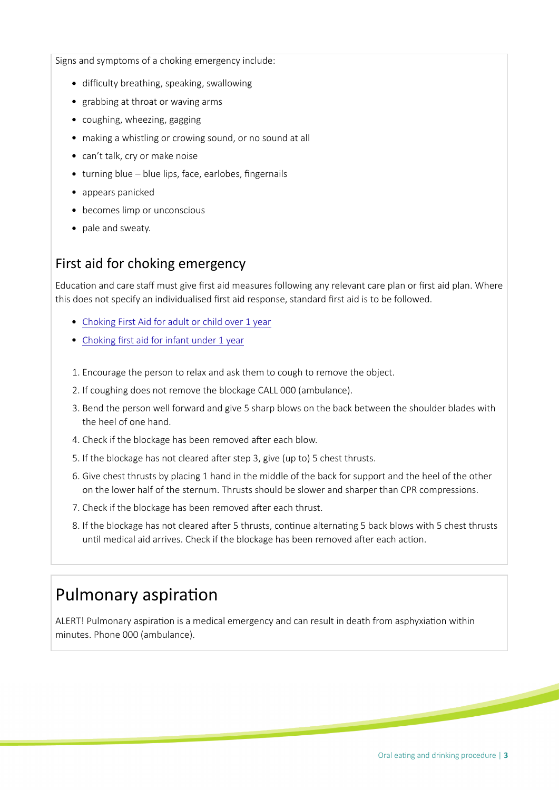Signs and symptoms of a choking emergency include:

- difficulty breathing, speaking, swallowing
- grabbing at throat or waving arms
- coughing, wheezing, gagging
- making a whistling or crowing sound, or no sound at all
- can't talk, cry or make noise
- turning blue blue lips, face, earlobes, fingernails
- appears panicked
- becomes limp or unconscious
- pale and sweaty.

#### First aid for choking emergency

Education and care staff must give first aid measures following any relevant care plan or first aid plan. Where this does not specify an individualised frst aid response, standard frst aid is to be followed.

- [Choking First Aid for adult or child over 1 year](https://stjohn.org.au/assets/uploads/fact%20sheets/english/Fact%20sheets_choking%20adult.pdf)
- Choking first aid for infant under 1 year
- 1. Encourage the person to relax and ask them to cough to remove the object.
- 2. If coughing does not remove the blockage CALL 000 (ambulance).
- 3. Bend the person well forward and give 5 sharp blows on the back between the shoulder blades with the heel of one hand.
- 4. Check if the blockage has been removed after each blow.
- 5. If the blockage has not cleared afer step 3, give (up to) 5 chest thrusts.
- 6. Give chest thrusts by placing 1 hand in the middle of the back for support and the heel of the other on the lower half of the sternum. Thrusts should be slower and sharper than CPR compressions.
- 7. Check if the blockage has been removed after each thrust.
- 8. If the blockage has not cleared after 5 thrusts, continue alternating 5 back blows with 5 chest thrusts until medical aid arrives. Check if the blockage has been removed after each action.

#### Pulmonary aspiration

ALERT! Pulmonary aspiraton is a medical emergency and can result in death from asphyxiaton within minutes. Phone 000 (ambulance).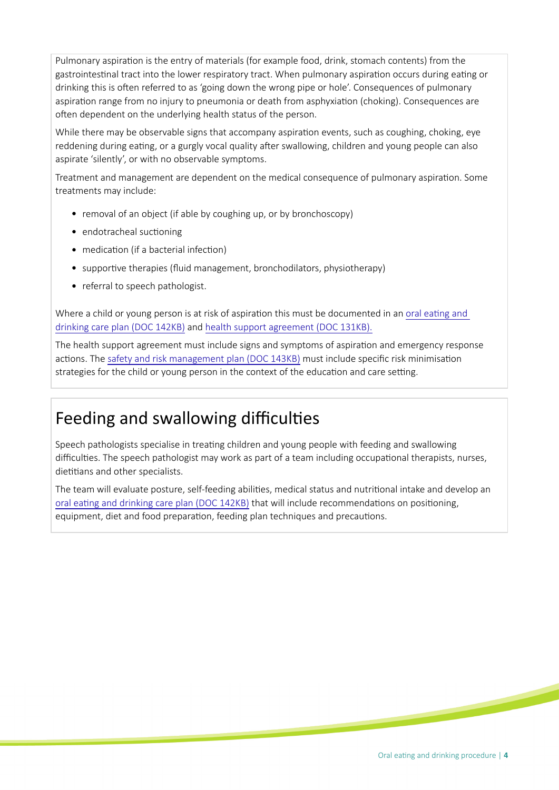Pulmonary aspiration is the entry of materials (for example food, drink, stomach contents) from the gastrointestinal tract into the lower respiratory tract. When pulmonary aspiration occurs during eating or drinking this is often referred to as 'going down the wrong pipe or hole'. Consequences of pulmonary aspiration range from no injury to pneumonia or death from asphyxiation (choking). Consequences are often dependent on the underlying health status of the person.

While there may be observable signs that accompany aspiration events, such as coughing, choking, eye reddening during eating, or a gurgly vocal quality after swallowing, children and young people can also aspirate 'silently', or with no observable symptoms.

Treatment and management are dependent on the medical consequence of pulmonary aspiration. Some treatments may include:

- removal of an object (if able by coughing up, or by bronchoscopy)
- endotracheal suctioning
- medication (if a bacterial infection)
- supportive therapies (fluid management, bronchodilators, physiotherapy)
- referral to speech pathologist.

Where a child or young person is at risk of aspiration this must be documented in an oral eating and [drinking care plan \(DOC 142KB\)](https://www.education.sa.gov.au/sites/default/files/hsp210-oral-eating-drinking.docx) and [health support agreement \(DOC 131KB\).](https://www.education.sa.gov.au/sites/default/files/hsp120-health-support-agreement.docx)

The health support agreement must include signs and symptoms of aspiration and emergency response actions. The [safety and risk management plan \(DOC 143KB\)](https://www.education.sa.gov.au/sites/g/files/net691/f/hsp121-safety-risk-mgmt-plan.doc?v=1534810709) must include specific risk minimisation strategies for the child or young person in the context of the education and care setting.

### Feeding and swallowing difficulties

Speech pathologists specialise in treatng children and young people with feeding and swallowing difficulties. The speech pathologist may work as part of a team including occupational therapists, nurses, dietitians and other specialists.

The team will evaluate posture, self-feeding abilites, medical status and nutritonal intake and develop an oral eating and drinking care plan (DOC 142KB) that will include recommendations on positioning, equipment, diet and food preparation, feeding plan techniques and precautions.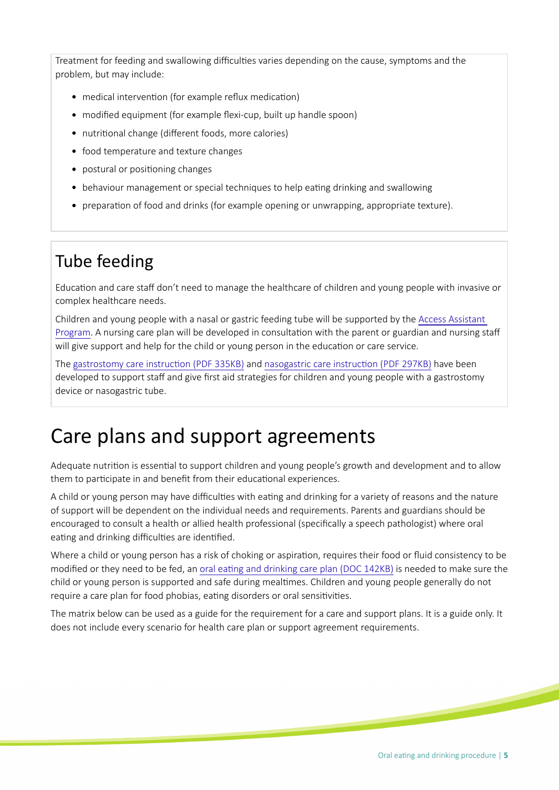Treatment for feeding and swallowing difficulties varies depending on the cause, symptoms and the problem, but may include:

- medical intervention (for example reflux medication)
- modified equipment (for example flexi-cup, built up handle spoon)
- nutritonal change (diferent foods, more calories)
- food temperature and texture changes
- postural or positioning changes
- behaviour management or special techniques to help eating drinking and swallowing
- preparation of food and drinks (for example opening or unwrapping, appropriate texture).

## Tube feeding

Educaton and care staf don't need to manage the healthcare of children and young people with invasive or complex healthcare needs.

Children and young people with a nasal or gastric feeding tube will be supported by the [Access Assistant](https://www.education.sa.gov.au/supporting-students/health-e-safety-and-wellbeing/health-support-planning/managing-health-education-and-care/health-support-services-and-programs/access-assistant-program-aap)  [Program](https://www.education.sa.gov.au/supporting-students/health-e-safety-and-wellbeing/health-support-planning/managing-health-education-and-care/health-support-services-and-programs/access-assistant-program-aap). A nursing care plan will be developed in consultation with the parent or guardian and nursing staff will give support and help for the child or young person in the education or care service.

The gastrostomy care instruction (PDF 335KB) and nasogastric care instruction (PDF 297KB) have been developed to support staff and give first aid strategies for children and young people with a gastrostomy device or nasogastric tube.

## Care plans and support agreements

Adequate nutriton is essental to support children and young people's growth and development and to allow them to participate in and benefit from their educational experiences.

A child or young person may have difficulties with eating and drinking for a variety of reasons and the nature of support will be dependent on the individual needs and requirements. Parents and guardians should be encouraged to consult a health or allied health professional (specifcally a speech pathologist) where oral eating and drinking difficulties are identified.

Where a child or young person has a risk of choking or aspiration, requires their food or fluid consistency to be modified or they need to be fed, an oral eating and drinking care plan (DOC 142KB) is needed to make sure the child or young person is supported and safe during mealtmes. Children and young people generally do not require a care plan for food phobias, eatng disorders or oral sensitvites.

The matrix below can be used as a guide for the requirement for a care and support plans. It is a guide only. It does not include every scenario for health care plan or support agreement requirements.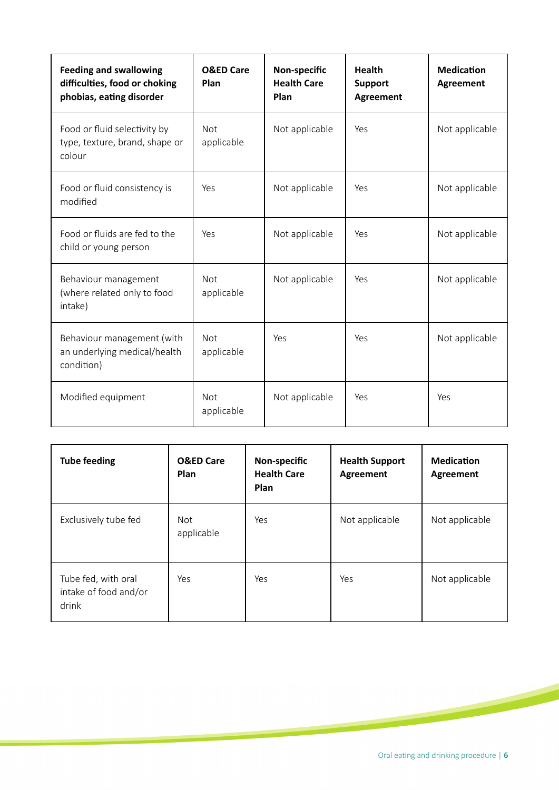| <b>Feeding and swallowing</b><br>difficulties, food or choking<br>phobias, eating disorder | <b>O&amp;ED Care</b><br>Plan | Non-specific<br><b>Health Care</b><br>Plan | <b>Health</b><br><b>Support</b><br><b>Agreement</b> | <b>Medication</b><br><b>Agreement</b> |
|--------------------------------------------------------------------------------------------|------------------------------|--------------------------------------------|-----------------------------------------------------|---------------------------------------|
| Food or fluid selectivity by<br>type, texture, brand, shape or<br>colour                   | <b>Not</b><br>applicable     | Not applicable                             | Yes                                                 | Not applicable                        |
| Food or fluid consistency is<br>modified                                                   | Yes                          | Not applicable                             | Yes                                                 | Not applicable                        |
| Food or fluids are fed to the<br>child or young person                                     | Yes                          | Not applicable                             | Yes                                                 | Not applicable                        |
| Behaviour management<br>(where related only to food<br>intake)                             | Not<br>applicable            | Not applicable                             | Yes                                                 | Not applicable                        |
| Behaviour management (with<br>an underlying medical/health<br>condition)                   | Not<br>applicable            | Yes                                        | Yes                                                 | Not applicable                        |
| Modified equipment                                                                         | <b>Not</b><br>applicable     | Not applicable                             | Yes                                                 | Yes                                   |

| <b>Tube feeding</b>                                   | <b>O&amp;ED Care</b><br>Plan | Non-specific<br><b>Health Care</b><br>Plan | <b>Health Support</b><br>Agreement | <b>Medication</b><br><b>Agreement</b> |
|-------------------------------------------------------|------------------------------|--------------------------------------------|------------------------------------|---------------------------------------|
| Exclusively tube fed                                  | Not<br>applicable            | Yes                                        | Not applicable                     | Not applicable                        |
| Tube fed, with oral<br>intake of food and/or<br>drink | Yes                          | Yes                                        | Yes                                | Not applicable                        |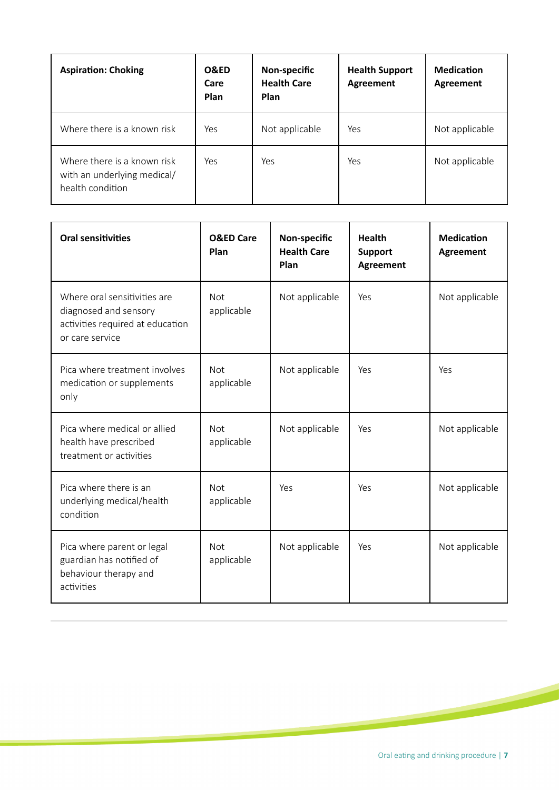| <b>Aspiration: Choking</b>                                                     | O&ED<br>Care<br>Plan | Non-specific<br><b>Health Care</b><br>Plan | <b>Health Support</b><br><b>Agreement</b> | <b>Medication</b><br>Agreement |
|--------------------------------------------------------------------------------|----------------------|--------------------------------------------|-------------------------------------------|--------------------------------|
| Where there is a known risk                                                    | Yes                  | Not applicable                             | Yes                                       | Not applicable                 |
| Where there is a known risk<br>with an underlying medical/<br>health condition | Yes                  | Yes                                        | Yes                                       | Not applicable                 |

| <b>Oral sensitivities</b>                                                                                    | <b>O&amp;ED Care</b><br>Plan | Non-specific<br><b>Health Care</b><br>Plan | <b>Health</b><br><b>Support</b><br><b>Agreement</b> | <b>Medication</b><br><b>Agreement</b> |
|--------------------------------------------------------------------------------------------------------------|------------------------------|--------------------------------------------|-----------------------------------------------------|---------------------------------------|
| Where oral sensitivities are<br>diagnosed and sensory<br>activities required at education<br>or care service | <b>Not</b><br>applicable     | Not applicable                             | Yes                                                 | Not applicable                        |
| Pica where treatment involves<br>medication or supplements<br>only                                           | <b>Not</b><br>applicable     | Not applicable                             | Yes                                                 | Yes                                   |
| Pica where medical or allied<br>health have prescribed<br>treatment or activities                            | <b>Not</b><br>applicable     | Not applicable                             | Yes                                                 | Not applicable                        |
| Pica where there is an<br>underlying medical/health<br>condition                                             | <b>Not</b><br>applicable     | Yes                                        | Yes                                                 | Not applicable                        |
| Pica where parent or legal<br>guardian has notified of<br>behaviour therapy and<br>activities                | <b>Not</b><br>applicable     | Not applicable                             | Yes                                                 | Not applicable                        |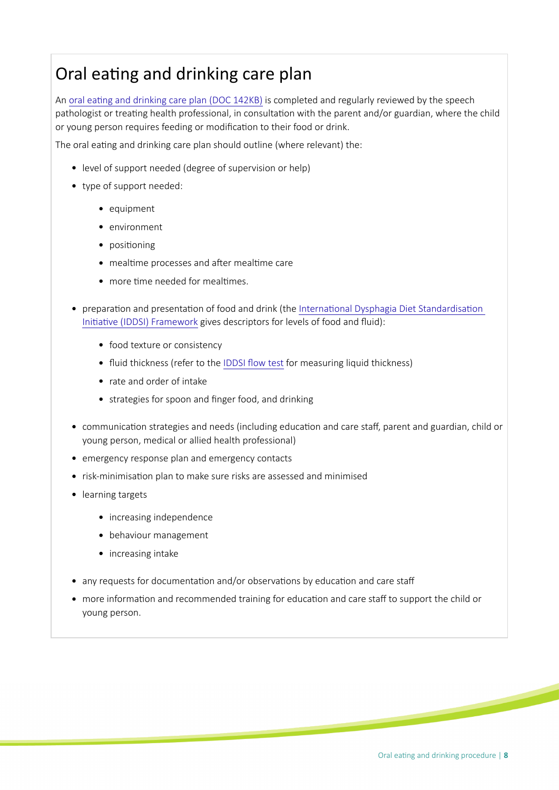## Oral eating and drinking care plan

An oral eating and drinking care plan (DOC 142KB) is completed and regularly reviewed by the speech pathologist or treating health professional, in consultation with the parent and/or guardian, where the child or young person requires feeding or modification to their food or drink.

The oral eating and drinking care plan should outline (where relevant) the:

- level of support needed (degree of supervision or help)
- type of support needed:
	- equipment
	- environment
	- positioning
	- mealtime processes and after mealtime care
	- more time needed for mealtimes.
- preparation and presentation of food and drink (the International Dysphagia Diet Standardisation Initiative (IDDSI) Framework gives descriptors for levels of food and fluid):
	- food texture or consistency
	- fluid thickness (refer to the IDDSI flow test for measuring liquid thickness)
	- rate and order of intake
	- strategies for spoon and finger food, and drinking
- communication strategies and needs (including education and care staff, parent and guardian, child or young person, medical or allied health professional)
- emergency response plan and emergency contacts
- risk-minimisaton plan to make sure risks are assessed and minimised
- learning targets
	- increasing independence
	- behaviour management
	- increasing intake
- any requests for documentation and/or observations by education and care staff
- more information and recommended training for education and care staff to support the child or young person.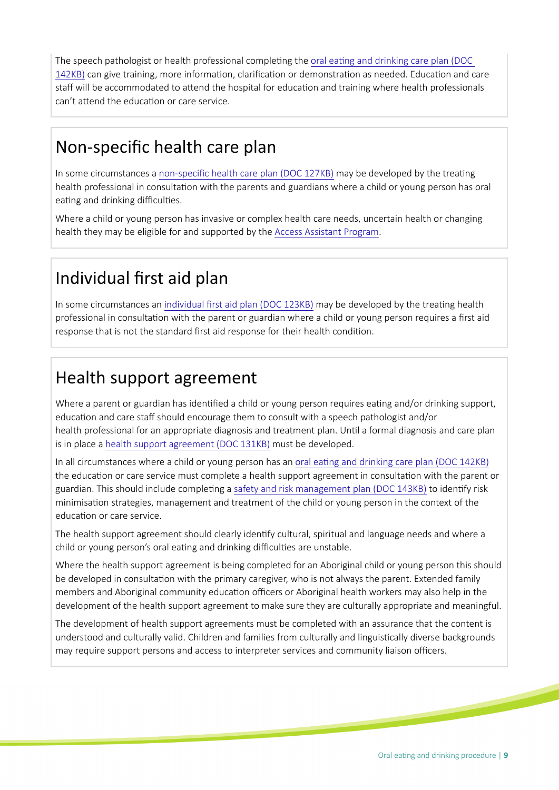The speech pathologist or health professional completing the oral eating and drinking care plan (DOC [142KB\)](https://www.education.sa.gov.au/sites/default/files/hsp210-oral-eating-drinking.docx) can give training, more information, clarification or demonstration as needed. Education and care staff will be accommodated to attend the hospital for education and training where health professionals can't atend the educaton or care service.

### Non-specifc health care plan

In some circumstances a [non-specifc health care plan \(DOC 127KB\)](https://www.education.sa.gov.au/sites/default/files/non-specific-health-care-plan.docx?v=1560395981) may be developed by the treatng health professional in consultation with the parents and guardians where a child or young person has oral eating and drinking difficulties.

Where a child or young person has invasive or complex health care needs, uncertain health or changing health they may be eligible for and supported by the [Access Assistant Program.](https://www.education.sa.gov.au/supporting-students/health-e-safety-and-wellbeing/health-support-planning/managing-health-education-and-care/health-support-services-and-programs/access-assistant-program-aap)

## Individual frst aid plan

In some circumstances an [individual frst aid plan \(DOC 123KB\)](https://www.education.sa.gov.au/sites/default/files/individual-first-aid-plan.docx?v=1575931150) may be developed by the treatng health professional in consultaton with the parent or guardian where a child or young person requires a frst aid response that is not the standard frst aid response for their health conditon.

## Health support agreement

Where a parent or guardian has identified a child or young person requires eating and/or drinking support, education and care staff should encourage them to consult with a speech pathologist and/or health professional for an appropriate diagnosis and treatment plan. Until a formal diagnosis and care plan is in place a [health support agreement \(DOC 131KB\)](https://www.education.sa.gov.au/sites/default/files/hsp120-health-support-agreement.docx) must be developed.

In all circumstances where a child or young person has an [oral eatng and drinking care plan \(DOC 142KB\)](https://www.education.sa.gov.au/sites/default/files/hsp210-oral-eating-drinking.docx) the education or care service must complete a health support agreement in consultation with the parent or guardian. This should include completng a [safety and risk management plan \(DOC 143KB\)](https://www.education.sa.gov.au/sites/g/files/net691/f/hsp121-safety-risk-mgmt-plan.doc?v=1534810709) to identfy risk minimisaton strategies, management and treatment of the child or young person in the context of the education or care service.

The health support agreement should clearly identfy cultural, spiritual and language needs and where a child or young person's oral eating and drinking difficulties are unstable.

Where the health support agreement is being completed for an Aboriginal child or young person this should be developed in consultation with the primary caregiver, who is not always the parent. Extended family members and Aboriginal community education officers or Aboriginal health workers may also help in the development of the health support agreement to make sure they are culturally appropriate and meaningful.

The development of health support agreements must be completed with an assurance that the content is understood and culturally valid. Children and families from culturally and linguistically diverse backgrounds may require support persons and access to interpreter services and community liaison officers.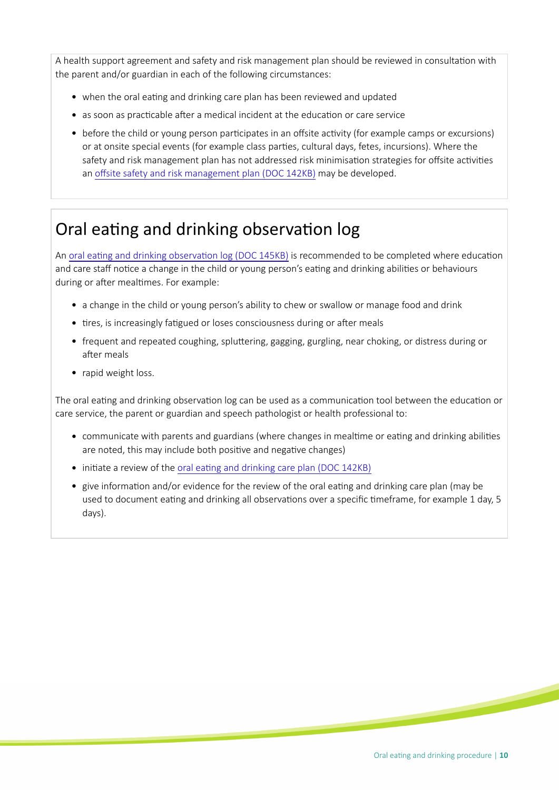A health support agreement and safety and risk management plan should be reviewed in consultaton with the parent and/or guardian in each of the following circumstances:

- when the oral eating and drinking care plan has been reviewed and updated
- as soon as practicable after a medical incident at the education or care service
- before the child or young person participates in an offsite activity (for example camps or excursions) or at onsite special events (for example class partes, cultural days, fetes, incursions). Where the safety and risk management plan has not addressed risk minimisation strategies for offsite activities an offsite safety and risk management plan (DOC 142KB) may be developed.

### Oral eating and drinking observation log

An oral eating and drinking observation log (DOC 145KB) is recommended to be completed where education and care staff notice a change in the child or young person's eating and drinking abilities or behaviours during or after mealtimes. For example:

- a change in the child or young person's ability to chew or swallow or manage food and drink
- tires, is increasingly fatigued or loses consciousness during or after meals
- frequent and repeated coughing, spluttering, gagging, gurgling, near choking, or distress during or after meals
- rapid weight loss.

The oral eating and drinking observation log can be used as a communication tool between the education or care service, the parent or guardian and speech pathologist or health professional to:

- communicate with parents and guardians (where changes in mealtime or eating and drinking abilities are noted, this may include both positive and negative changes)
- initiate a review of the oral eating and drinking care plan (DOC 142KB)
- give information and/or evidence for the review of the oral eating and drinking care plan (may be used to document eating and drinking all observations over a specific timeframe, for example 1 day, 5 days).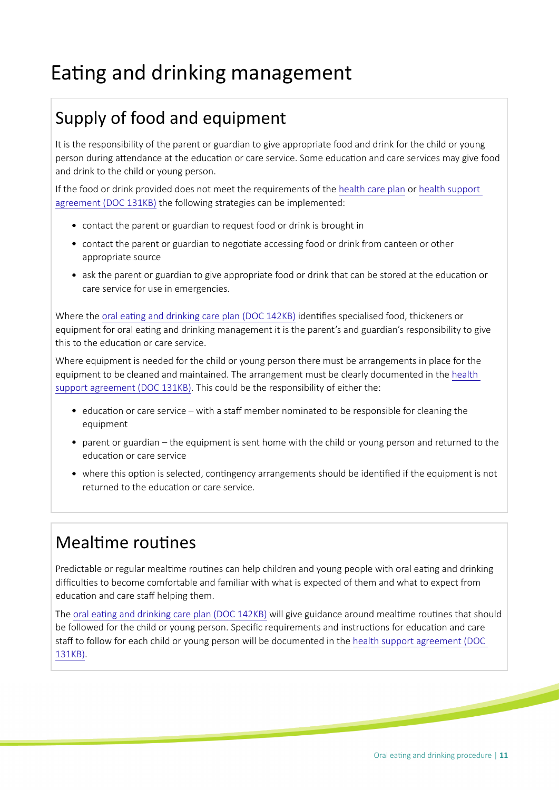# Eating and drinking management

## Supply of food and equipment

It is the responsibility of the parent or guardian to give appropriate food and drink for the child or young person during attendance at the education or care service. Some education and care services may give food and drink to the child or young person.

If the food or drink provided does not meet the requirements of the [health care plan](https://www.education.sa.gov.au/supporting-students/health-e-safety-and-wellbeing/health-care-plans) or [health support](https://www.education.sa.gov.au/doc/hsp120-health-support-agreement)  [agreement \(DOC 131KB\)](https://www.education.sa.gov.au/doc/hsp120-health-support-agreement) the following strategies can be implemented:

- contact the parent or guardian to request food or drink is brought in
- contact the parent or guardian to negotiate accessing food or drink from canteen or other appropriate source
- ask the parent or guardian to give appropriate food or drink that can be stored at the education or care service for use in emergencies.

Where the oral eating and drinking care plan (DOC 142KB) identifies specialised food, thickeners or equipment for oral eating and drinking management it is the parent's and guardian's responsibility to give this to the education or care service.

Where equipment is needed for the child or young person there must be arrangements in place for the equipment to be cleaned and maintained. The arrangement must be clearly documented in the [health](https://www.education.sa.gov.au/doc/hsp120-health-support-agreement)  [support agreement \(DOC 131KB\).](https://www.education.sa.gov.au/doc/hsp120-health-support-agreement) This could be the responsibility of either the:

- education or care service with a staff member nominated to be responsible for cleaning the equipment
- parent or guardian the equipment is sent home with the child or young person and returned to the education or care service
- where this option is selected, contingency arrangements should be identified if the equipment is not returned to the educaton or care service.

## Mealtime routines

Predictable or regular mealtime routines can help children and young people with oral eating and drinking difcultes to become comfortable and familiar with what is expected of them and what to expect from education and care staff helping them.

The oral eating and drinking care plan (DOC 142KB) will give guidance around mealtime routines that should be followed for the child or young person. Specific requirements and instructions for education and care staff to follow for each child or young person will be documented in the health support agreement (DOC [131KB\)](https://www.education.sa.gov.au/sites/default/files/hsp120-health-support-agreement.docx?v=1575870268).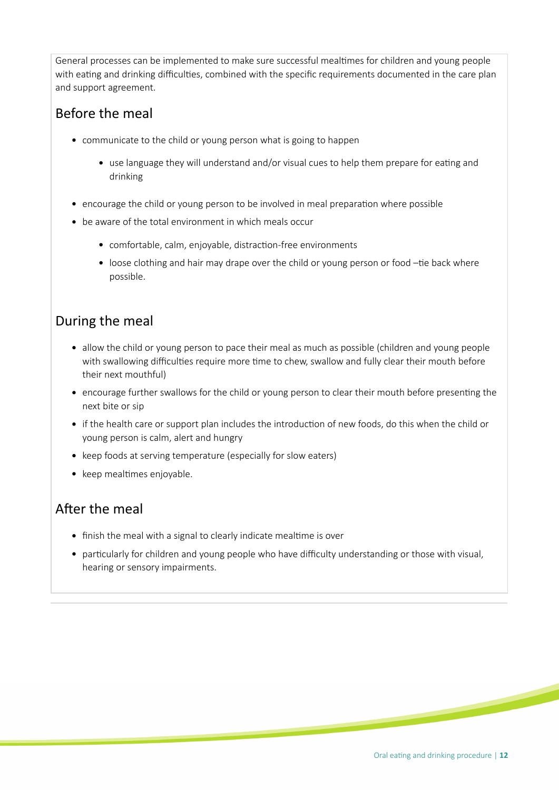General processes can be implemented to make sure successful mealtmes for children and young people with eating and drinking difficulties, combined with the specific requirements documented in the care plan and support agreement.

#### Before the meal

- communicate to the child or young person what is going to happen
	- use language they will understand and/or visual cues to help them prepare for eatng and drinking
- encourage the child or young person to be involved in meal preparation where possible
- be aware of the total environment in which meals occur
	- comfortable, calm, enjoyable, distraction-free environments
	- loose clothing and hair may drape over the child or young person or food –te back where possible.

#### During the meal

- allow the child or young person to pace their meal as much as possible (children and young people with swallowing difficulties require more time to chew, swallow and fully clear their mouth before their next mouthful)
- encourage further swallows for the child or young person to clear their mouth before presentng the next bite or sip
- if the health care or support plan includes the introduction of new foods, do this when the child or young person is calm, alert and hungry
- keep foods at serving temperature (especially for slow eaters)
- keep mealtimes enjoyable.

#### Afer the meal

- finish the meal with a signal to clearly indicate mealtime is over
- particularly for children and young people who have difficulty understanding or those with visual, hearing or sensory impairments.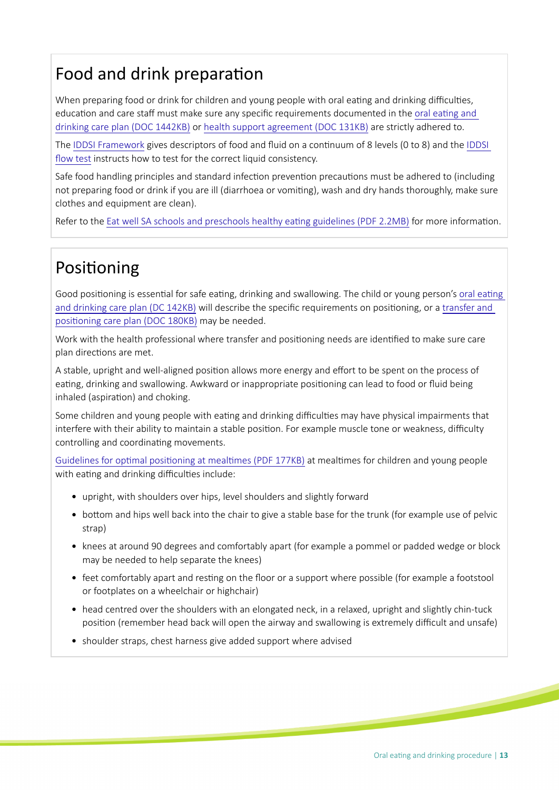## Food and drink preparation

When preparing food or drink for children and young people with oral eating and drinking difficulties, education and care staff must make sure any specific requirements documented in the oral eating and [drinking care plan \(DOC 1442KB\)](https://www.education.sa.gov.au/doc/hsp210-oral-eating-and-drinking-care-plan) or [health support agreement \(DOC 131KB\)](https://www.education.sa.gov.au/sites/default/files/hsp120-health-support-agreement.docx?v=1575870268) are strictly adhered to.

The [IDDSI Framework](https://iddsi.org/Framework) gives descriptors of food and fuid on a contnuum of 8 levels (0 to 8) and the [IDDSI](https://iddsi.org/Testing-Methods)  flow test instructs how to test for the correct liquid consistency.

Safe food handling principles and standard infection prevention precautions must be adhered to (including not preparing food or drink if you are ill (diarrhoea or vomitng), wash and dry hands thoroughly, make sure clothes and equipment are clean).

Refer to the [Eat well SA schools and preschools healthy eatng guidelines \(PDF 2.2MB\)](https://edi.sa.edu.au/library/document-library/guideline/early-childhood/eat-well-sa-schools-and-preschools-healthy-eating-guidelines.pdfsf_files_redirect) for more informaton.

## **Positioning**

Good positoning is essental for safe eatng, drinking and swallowing. The child or young person's [oral eatng](https://www.education.sa.gov.au/doc/hsp210-oral-eating-and-drinking-care-plan)  [and drinking care plan \(DC 142KB\)](https://www.education.sa.gov.au/doc/hsp210-oral-eating-and-drinking-care-plan) will describe the specific requirements on positioning, or a transfer and [positoning care plan \(DOC 180KB\)](https://www.education.sa.gov.au/sites/default/files/hsp-220-transfer-positioning-care-plan.docx?v=1548825429) may be needed.

Work with the health professional where transfer and positioning needs are identified to make sure care plan directions are met.

A stable, upright and well-aligned positon allows more energy and efort to be spent on the process of eating, drinking and swallowing. Awkward or inappropriate positioning can lead to food or fluid being inhaled (aspiration) and choking.

Some children and young people with eating and drinking difficulties may have physical impairments that interfere with their ability to maintain a stable position. For example muscle tone or weakness, difficulty controlling and coordinating movements.

[Guidelines for optmal positoning at mealtmes \(PDF 177KB\)](http://www.ideas.org.au/uploads/resources/644/Positioning%20at%20mealtimes%20Children%20Physical%20Diff.pdf) at mealtmes for children and young people with eating and drinking difficulties include:

- upright, with shoulders over hips, level shoulders and slightly forward
- bottom and hips well back into the chair to give a stable base for the trunk (for example use of pelvic strap)
- knees at around 90 degrees and comfortably apart (for example a pommel or padded wedge or block may be needed to help separate the knees)
- feet comfortably apart and resting on the floor or a support where possible (for example a footstool or footplates on a wheelchair or highchair)
- head centred over the shoulders with an elongated neck, in a relaxed, upright and slightly chin-tuck position (remember head back will open the airway and swallowing is extremely difficult and unsafe)
- shoulder straps, chest harness give added support where advised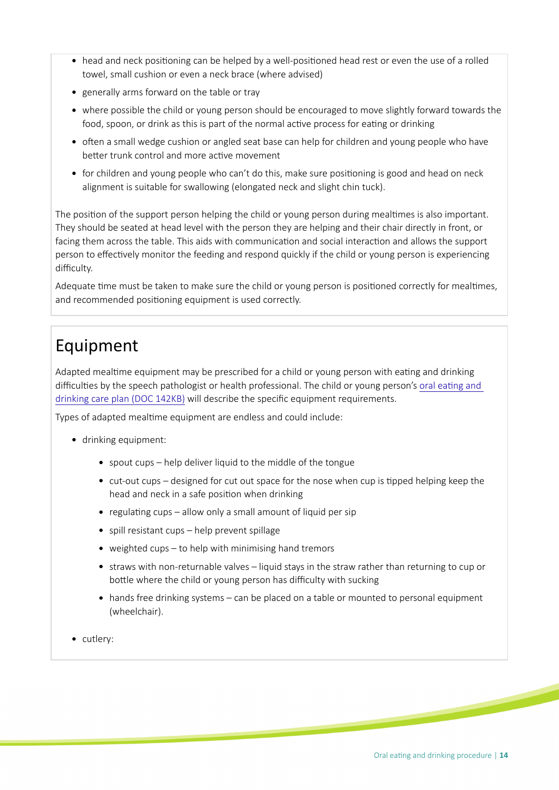- head and neck positioning can be helped by a well-positioned head rest or even the use of a rolled towel, small cushion or even a neck brace (where advised)
- generally arms forward on the table or tray
- where possible the child or young person should be encouraged to move slightly forward towards the food, spoon, or drink as this is part of the normal active process for eating or drinking
- often a small wedge cushion or angled seat base can help for children and young people who have better trunk control and more active movement
- for children and young people who can't do this, make sure positioning is good and head on neck alignment is suitable for swallowing (elongated neck and slight chin tuck).

The position of the support person helping the child or young person during mealtimes is also important. They should be seated at head level with the person they are helping and their chair directly in front, or facing them across the table. This aids with communication and social interaction and allows the support person to efectvely monitor the feeding and respond quickly if the child or young person is experiencing difficulty.

Adequate time must be taken to make sure the child or young person is positioned correctly for mealtimes, and recommended positoning equipment is used correctly.

## Equipment

Adapted mealtme equipment may be prescribed for a child or young person with eatng and drinking difficulties by the speech pathologist or health professional. The child or young person's oral eating and [drinking care plan \(DOC 142KB\)](https://www.education.sa.gov.au/doc/hsp210-oral-eating-and-drinking-care-plan) will describe the specifc equipment requirements.

Types of adapted mealtme equipment are endless and could include:

- drinking equipment:
	- spout cups help deliver liquid to the middle of the tongue
	- cut-out cups designed for cut out space for the nose when cup is tipped helping keep the head and neck in a safe positon when drinking
	- regulating cups allow only a small amount of liquid per sip
	- $\bullet$  spill resistant cups help prevent spillage
	- weighted cups to help with minimising hand tremors
	- straws with non-returnable valves liquid stays in the straw rather than returning to cup or bottle where the child or young person has difficulty with sucking
	- hands free drinking systems can be placed on a table or mounted to personal equipment (wheelchair).
- cutlery: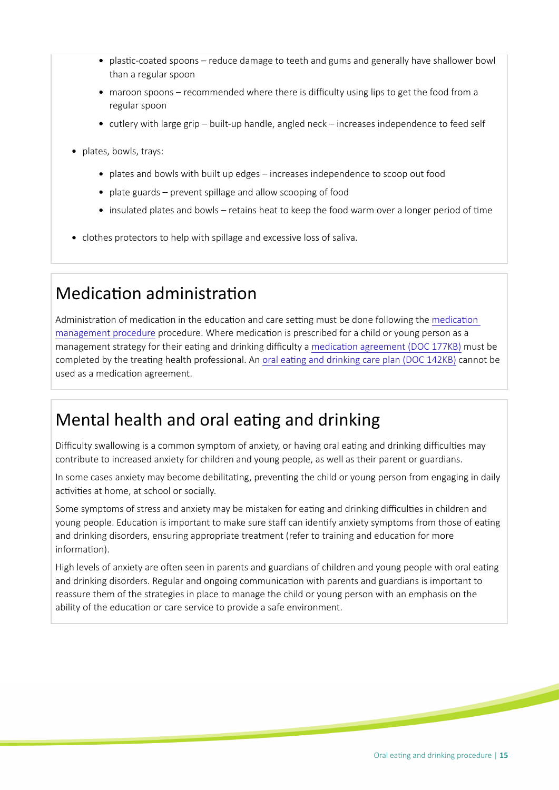- plastic-coated spoons reduce damage to teeth and gums and generally have shallower bowl than a regular spoon
- $\bullet$  maroon spoons recommended where there is difficulty using lips to get the food from a regular spoon
- cutlery with large grip built-up handle, angled neck increases independence to feed self
- plates, bowls, trays:
	- plates and bowls with built up edges increases independence to scoop out food
	- plate guards prevent spillage and allow scooping of food
	- insulated plates and bowls retains heat to keep the food warm over a longer period of time
- clothes protectors to help with spillage and excessive loss of saliva.

### Medication administration

Administration of medication in the education and care setting must be done following the medication [management procedure](https://edi.sa.edu.au/library/document-library/controlled-procedures/health-support-planning-medication-management-in-education-and-care) procedure. Where medication is prescribed for a child or young person as a management strategy for their eating and drinking difficulty a medication agreement (DOC 177KB) must be completed by the treating health professional. An oral eating and drinking care plan (DOC 142KB) cannot be used as a medication agreement.

### Mental health and oral eating and drinking

Difficulty swallowing is a common symptom of anxiety, or having oral eating and drinking difficulties may contribute to increased anxiety for children and young people, as well as their parent or guardians.

In some cases anxiety may become debilitating, preventing the child or young person from engaging in daily activities at home, at school or socially.

Some symptoms of stress and anxiety may be mistaken for eating and drinking difficulties in children and young people. Education is important to make sure staff can identify anxiety symptoms from those of eating and drinking disorders, ensuring appropriate treatment (refer to training and education for more information).

High levels of anxiety are often seen in parents and guardians of children and young people with oral eating and drinking disorders. Regular and ongoing communication with parents and guardians is important to reassure them of the strategies in place to manage the child or young person with an emphasis on the ability of the education or care service to provide a safe environment.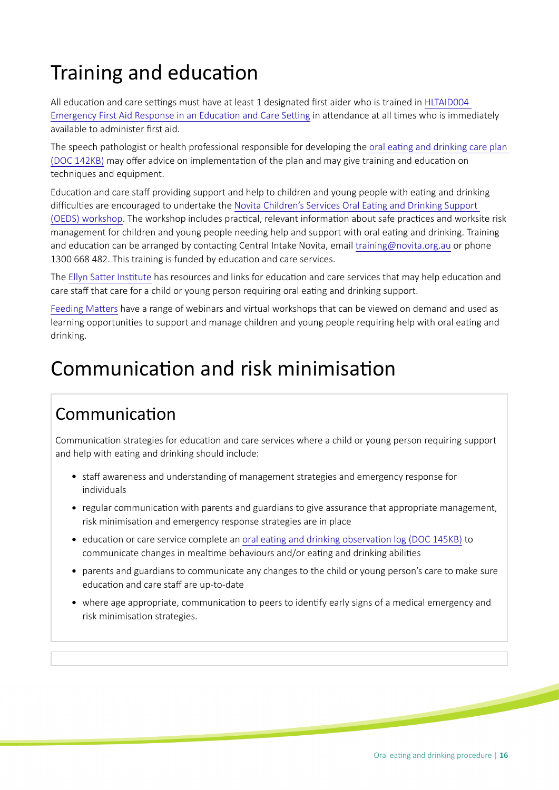# Training and education

All education and care settings must have at least 1 designated first aider who is trained in HLTAID004 Emergency First Aid Response in an Education and Care Setting in attendance at all times who is immediately available to administer first aid.

The speech pathologist or health professional responsible for developing the [oral eatng and drinking care plan](https://www.education.sa.gov.au/sites/default/files/hsp210-oral-eating-drinking.docx)  [\(DOC 142KB\)](https://www.education.sa.gov.au/sites/default/files/hsp210-oral-eating-drinking.docx) may offer advice on implementation of the plan and may give training and education on techniques and equipment.

Educaton and care staf providing support and help to children and young people with eatng and drinking difficulties are encouraged to undertake the Novita Children's Services Oral Eating and Drinking Support [\(OEDS\) workshop.](https://www.novita.org.au/training/oeds-workshop) The workshop includes practical, relevant information about safe practices and worksite risk management for children and young people needing help and support with oral eating and drinking. Training and education can be arranged by contacting Central Intake Novita, email [training@novita.org.au](mailto:training@novita.org.au) or phone 1300 668 482. This training is funded by education and care services.

The Ellyn Satter Institute has resources and links for education and care services that may help education and care staff that care for a child or young person requiring oral eating and drinking support.

Feeding Matters have a range of webinars and virtual workshops that can be viewed on demand and used as learning opportunities to support and manage children and young people requiring help with oral eating and drinking.

## Communication and risk minimisation

### Communication

Communication strategies for education and care services where a child or young person requiring support and help with eating and drinking should include:

- staff awareness and understanding of management strategies and emergency response for individuals
- regular communication with parents and guardians to give assurance that appropriate management, risk minimisation and emergency response strategies are in place
- education or care service complete an oral eating and drinking observation log (DOC 145KB) to communicate changes in mealtme behaviours and/or eatng and drinking abilites
- parents and guardians to communicate any changes to the child or young person's care to make sure education and care staff are up-to-date
- where age appropriate, communication to peers to identify early signs of a medical emergency and risk minimisation strategies.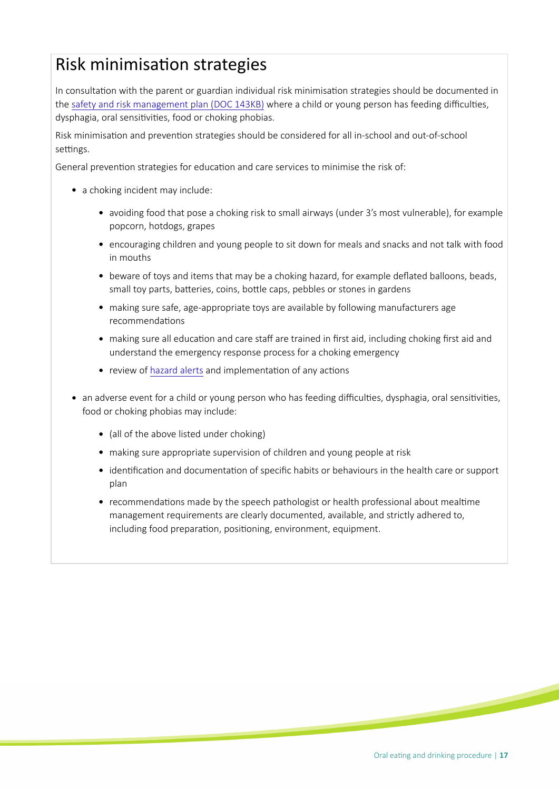## Risk minimisaton strategies

In consultation with the parent or guardian individual risk minimisation strategies should be documented in the [safety and risk management plan \(DOC 143KB\)](https://www.education.sa.gov.au/doc/hsp121-safety-and-risk-management-plan) where a child or young person has feeding difficulties, dysphagia, oral sensitivities, food or choking phobias.

Risk minimisation and prevention strategies should be considered for all in-school and out-of-school settings.

General prevention strategies for education and care services to minimise the risk of:

- a choking incident may include:
	- avoiding food that pose a choking risk to small airways (under 3's most vulnerable), for example popcorn, hotdogs, grapes
	- encouraging children and young people to sit down for meals and snacks and not talk with food in mouths
	- beware of toys and items that may be a choking hazard, for example defated balloons, beads, small toy parts, batteries, coins, bottle caps, pebbles or stones in gardens
	- making sure safe, age-appropriate toys are available by following manufacturers age recommendations
	- making sure all education and care staff are trained in first aid, including choking first aid and understand the emergency response process for a choking emergency
	- review of [hazard alerts](https://edi.sa.edu.au/hr/for-managers/health-and-safety/health-and-safety-noticeboards) and implementation of any actions
- an adverse event for a child or young person who has feeding difficulties, dysphagia, oral sensitivities, food or choking phobias may include:
	- (all of the above listed under choking)
	- making sure appropriate supervision of children and young people at risk
	- identification and documentation of specific habits or behaviours in the health care or support plan
	- recommendations made by the speech pathologist or health professional about mealtime management requirements are clearly documented, available, and strictly adhered to, including food preparation, positioning, environment, equipment.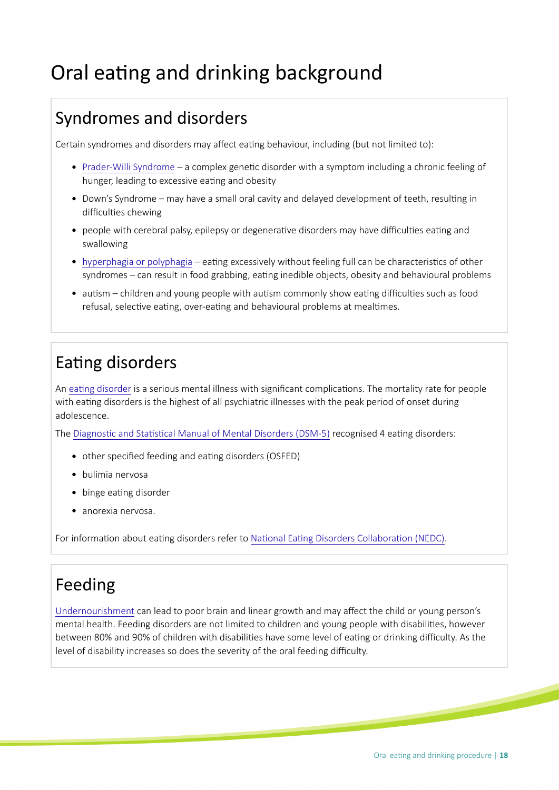# Oral eating and drinking background

## Syndromes and disorders

Certain syndromes and disorders may afect eatng behaviour, including (but not limited to):

- [Prader-Willi Syndrome](http://brainfoundation.org.au/disorders/prader-willi-syndrome) a complex genetic disorder with a symptom including a chronic feeling of hunger, leading to excessive eating and obesity
- Down's Syndrome may have a small oral cavity and delayed development of teeth, resulting in difficulties chewing
- people with cerebral palsy, epilepsy or degenerative disorders may have difficulties eating and swallowing
- [hyperphagia or polyphagia](https://en.wikipedia.org/wiki/Polyphagia) eatng excessively without feeling full can be characteristcs of other syndromes – can result in food grabbing, eating inedible objects, obesity and behavioural problems
- $\bullet$  autism children and young people with autism commonly show eating difficulties such as food refusal, selective eating, over-eating and behavioural problems at mealtimes.

## Eating disorders

An eating disorder is a serious mental illness with significant complications. The mortality rate for people with eating disorders is the highest of all psychiatric illnesses with the peak period of onset during adolescence.

The Diagnostic and Statistical Manual of Mental Disorders (DSM-5) recognised 4 eating disorders:

- other specifed feeding and eatng disorders (OSFED)
- bulimia nervosa
- binge eating disorder
- anorexia nervosa.

For information about eating disorders refer to National Eating Disorders Collaboration (NEDC).

### Feeding

[Undernourishment](http://theconversation.com/poor-nutrition-can-put-children-at-higher-risk-of-mental-illness-54836) can lead to poor brain and linear growth and may afect the child or young person's mental health. Feeding disorders are not limited to children and young people with disabilites, however between 80% and 90% of children with disabilities have some level of eating or drinking difficulty. As the level of disability increases so does the severity of the oral feeding difficulty.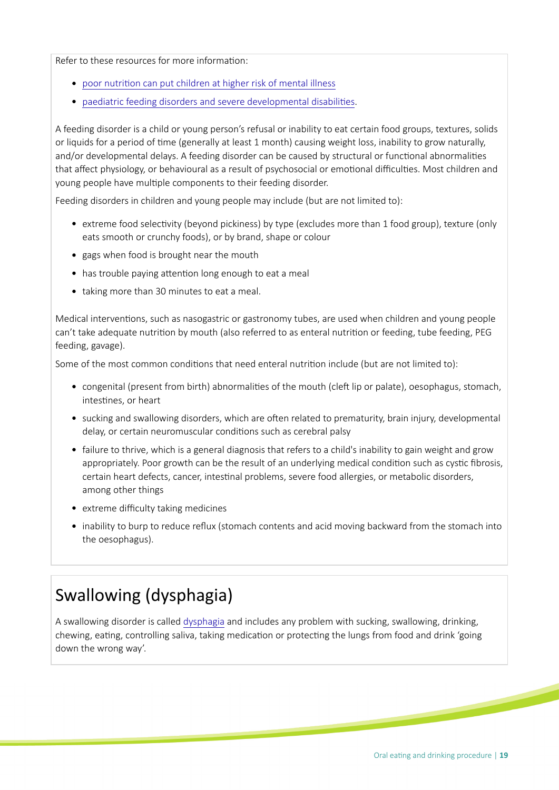Refer to these resources for more information:

- [poor nutriton can put children at higher risk of mental illness](https://theconversation.com/poor-nutrition-can-put-children-at-higher-risk-of-mental-illness-54836)
- [paediatric feeding disorders and severe developmental disabilites.](https://www.ncbi.nlm.nih.gov/pubmed/28324901)

A feeding disorder is a child or young person's refusal or inability to eat certain food groups, textures, solids or liquids for a period of tme (generally at least 1 month) causing weight loss, inability to grow naturally, and/or developmental delays. A feeding disorder can be caused by structural or functional abnormalities that affect physiology, or behavioural as a result of psychosocial or emotional difficulties. Most children and young people have multiple components to their feeding disorder.

Feeding disorders in children and young people may include (but are not limited to):

- extreme food selectivity (beyond pickiness) by type (excludes more than 1 food group), texture (only eats smooth or crunchy foods), or by brand, shape or colour
- gags when food is brought near the mouth
- has trouble paying attention long enough to eat a meal
- taking more than 30 minutes to eat a meal.

Medical interventions, such as nasogastric or gastronomy tubes, are used when children and young people can't take adequate nutriton by mouth (also referred to as enteral nutriton or feeding, tube feeding, PEG feeding, gavage).

Some of the most common conditions that need enteral nutrition include (but are not limited to):

- congenital (present from birth) abnormalities of the mouth (cleft lip or palate), oesophagus, stomach, intestines, or heart
- sucking and swallowing disorders, which are often related to prematurity, brain injury, developmental delay, or certain neuromuscular conditons such as cerebral palsy
- failure to thrive, which is a general diagnosis that refers to a child's inability to gain weight and grow appropriately. Poor growth can be the result of an underlying medical condition such as cystic fibrosis, certain heart defects, cancer, intestnal problems, severe food allergies, or metabolic disorders, among other things
- extreme difficulty taking medicines
- inability to burp to reduce reflux (stomach contents and acid moving backward from the stomach into the oesophagus).

## Swallowing (dysphagia)

A swallowing disorder is called [dysphagia](https://www.asha.org/public/speech/swallowing/Feeding-and-Swallowing-Disorders-in-Children) and includes any problem with sucking, swallowing, drinking, chewing, eating, controlling saliva, taking medication or protecting the lungs from food and drink 'going down the wrong way'.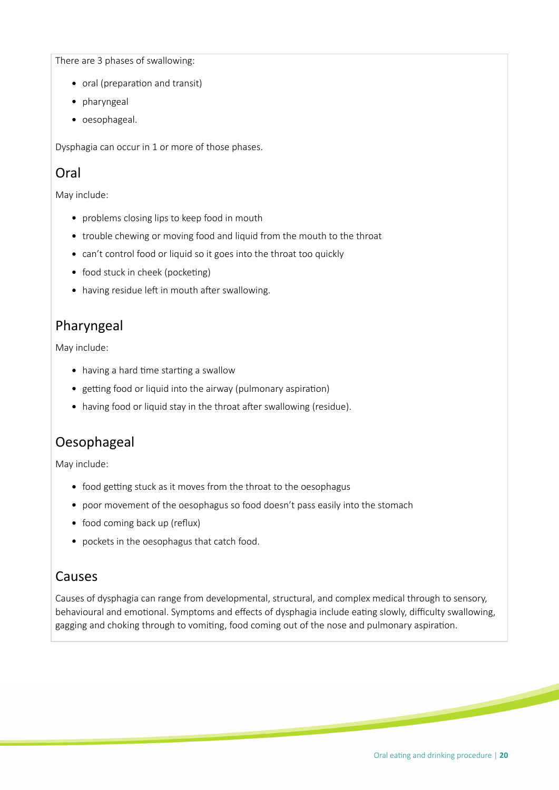There are 3 phases of swallowing:

- oral (preparation and transit)
- pharyngeal
- oesophageal.

Dysphagia can occur in 1 or more of those phases.

#### **Oral**

May include:

- problems closing lips to keep food in mouth
- trouble chewing or moving food and liquid from the mouth to the throat
- can't control food or liquid so it goes into the throat too quickly
- food stuck in cheek (pocketing)
- having residue left in mouth after swallowing.

#### Pharyngeal

May include:

- having a hard time starting a swallow
- getting food or liquid into the airway (pulmonary aspiration)
- having food or liquid stay in the throat after swallowing (residue).

#### Oesophageal

May include:

- food getting stuck as it moves from the throat to the oesophagus
- poor movement of the oesophagus so food doesn't pass easily into the stomach
- food coming back up (reflux)
- pockets in the oesophagus that catch food.

#### Causes

Causes of dysphagia can range from developmental, structural, and complex medical through to sensory, behavioural and emotional. Symptoms and effects of dysphagia include eating slowly, difficulty swallowing, gagging and choking through to vomiting, food coming out of the nose and pulmonary aspiration.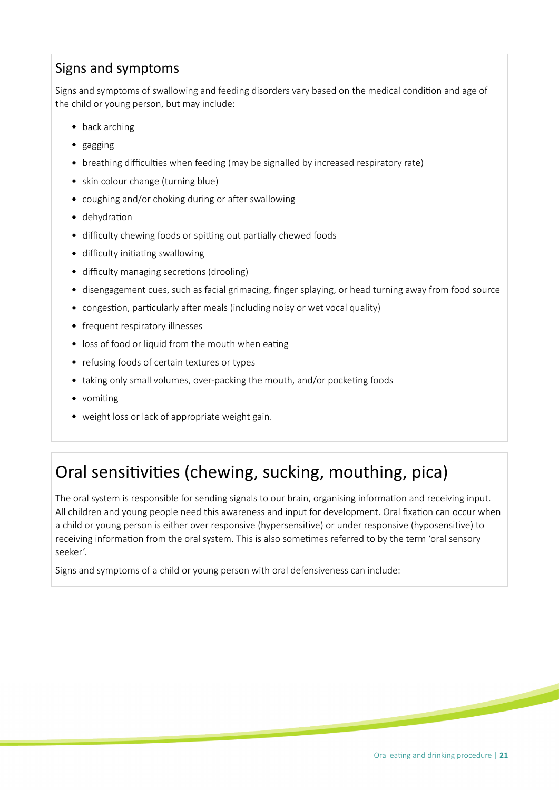#### Signs and symptoms

Signs and symptoms of swallowing and feeding disorders vary based on the medical conditon and age of the child or young person, but may include:

- back arching
- gagging
- breathing difficulties when feeding (may be signalled by increased respiratory rate)
- skin colour change (turning blue)
- coughing and/or choking during or after swallowing
- dehydration
- difficulty chewing foods or spitting out partially chewed foods
- $\bullet$  difficulty initiating swallowing
- difficulty managing secretions (drooling)
- disengagement cues, such as facial grimacing, fnger splaying, or head turning away from food source
- congestion, particularly after meals (including noisy or wet vocal quality)
- frequent respiratory illnesses
- loss of food or liquid from the mouth when eating
- refusing foods of certain textures or types
- taking only small volumes, over-packing the mouth, and/or pocketing foods
- vomiting
- weight loss or lack of appropriate weight gain.

## Oral sensitvites (chewing, sucking, mouthing, pica)

The oral system is responsible for sending signals to our brain, organising information and receiving input. All children and young people need this awareness and input for development. Oral fixation can occur when a child or young person is either over responsive (hypersensitve) or under responsive (hyposensitve) to receiving information from the oral system. This is also sometimes referred to by the term 'oral sensory seeker'.

Signs and symptoms of a child or young person with oral defensiveness can include: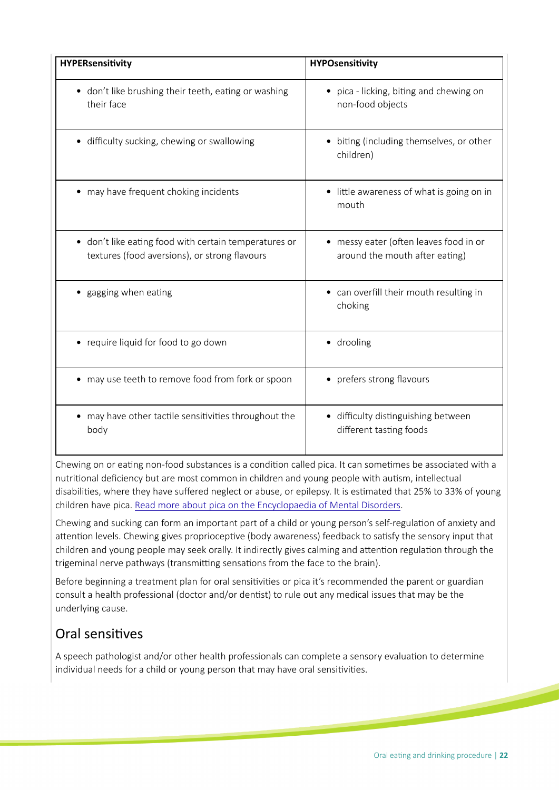| <b>HYPERsensitivity</b>                                                                                | <b>HYPOsensitivity</b>                                                      |
|--------------------------------------------------------------------------------------------------------|-----------------------------------------------------------------------------|
| • don't like brushing their teeth, eating or washing<br>their face                                     | pica - licking, biting and chewing on<br>٠<br>non-food objects              |
| • difficulty sucking, chewing or swallowing                                                            | biting (including themselves, or other<br>children)                         |
| may have frequent choking incidents                                                                    | • little awareness of what is going on in<br>mouth                          |
| • don't like eating food with certain temperatures or<br>textures (food aversions), or strong flavours | messy eater (often leaves food in or<br>٠<br>around the mouth after eating) |
| gagging when eating                                                                                    | can overfill their mouth resulting in<br>٠<br>choking                       |
| • require liquid for food to go down                                                                   | · drooling                                                                  |
| may use teeth to remove food from fork or spoon                                                        | prefers strong flavours<br>٠                                                |
| may have other tactile sensitivities throughout the<br>body                                            | difficulty distinguishing between<br>٠<br>different tasting foods           |

Chewing on or eatng non-food substances is a conditon called pica. It can sometmes be associated with a nutritional deficiency but are most common in children and young people with autism, intellectual disabilities, where they have suffered neglect or abuse, or epilepsy. It is estimated that 25% to 33% of young children have pica. [Read more about pica on the Encyclopaedia of Mental Disorders.](http://www.minddisorders.com/Ob-Ps/Pica.html)

Chewing and sucking can form an important part of a child or young person's self-regulation of anxiety and attention levels. Chewing gives proprioceptive (body awareness) feedback to satisfy the sensory input that children and young people may seek orally. It indirectly gives calming and attention regulation through the trigeminal nerve pathways (transmitting sensations from the face to the brain).

Before beginning a treatment plan for oral sensitivities or pica it's recommended the parent or guardian consult a health professional (doctor and/or dentst) to rule out any medical issues that may be the underlying cause.

#### Oral sensitves

A speech pathologist and/or other health professionals can complete a sensory evaluation to determine individual needs for a child or young person that may have oral sensitvites.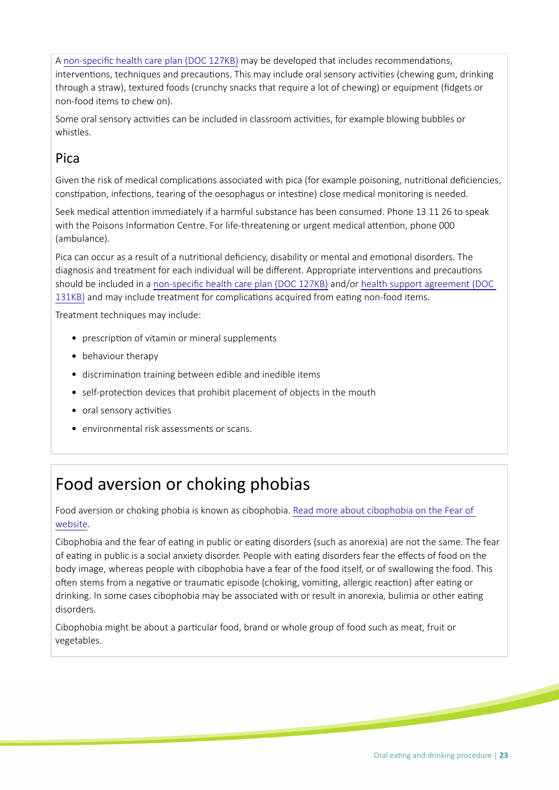A non-specific health care plan (DOC 127KB) may be developed that includes recommendations, interventions, techniques and precautions. This may include oral sensory activities (chewing gum, drinking through a straw), textured foods (crunchy snacks that require a lot of chewing) or equipment (fdgets or non-food items to chew on).

Some oral sensory activities can be included in classroom activities, for example blowing bubbles or whistles.

#### Pica

Given the risk of medical complications associated with pica (for example poisoning, nutritional deficiencies, constipation, infections, tearing of the oesophagus or intestine) close medical monitoring is needed.

Seek medical attention immediately if a harmful substance has been consumed. Phone 13 11 26 to speak with the Poisons Information Centre. For life-threatening or urgent medical attention, phone 000 (ambulance).

Pica can occur as a result of a nutritional deficiency, disability or mental and emotional disorders. The diagnosis and treatment for each individual will be diferent. Appropriate interventons and precautons should be included in a [non-specifc health care plan \(DOC 127KB\)](https://www.education.sa.gov.au/sites/default/files/non-specific-health-care-plan.docx?v=1560395981) and/or [health support agreement \(DOC](https://www.education.sa.gov.au/sites/default/files/hsp120-health-support-agreement.docx)  [131KB\)](https://www.education.sa.gov.au/sites/default/files/hsp120-health-support-agreement.docx) and may include treatment for complications acquired from eating non-food items.

Treatment techniques may include:

- prescription of vitamin or mineral supplements
- behaviour therapy
- discriminaton training between edible and inedible items
- self-protection devices that prohibit placement of objects in the mouth
- oral sensory activities
- environmental risk assessments or scans.

## Food aversion or choking phobias

Food aversion or choking phobia is known as cibophobia. [Read more about cibophobia on the Fear of](http://www.fearof.net/fear-of-food-phobia-cibophobia)  [website](http://www.fearof.net/fear-of-food-phobia-cibophobia).

Cibophobia and the fear of eatng in public or eatng disorders (such as anorexia) are not the same. The fear of eatng in public is a social anxiety disorder. People with eatng disorders fear the efects of food on the body image, whereas people with cibophobia have a fear of the food itself, or of swallowing the food. This often stems from a negative or traumatic episode (choking, vomiting, allergic reaction) after eating or drinking. In some cases cibophobia may be associated with or result in anorexia, bulimia or other eatng disorders.

Cibophobia might be about a partcular food, brand or whole group of food such as meat, fruit or vegetables.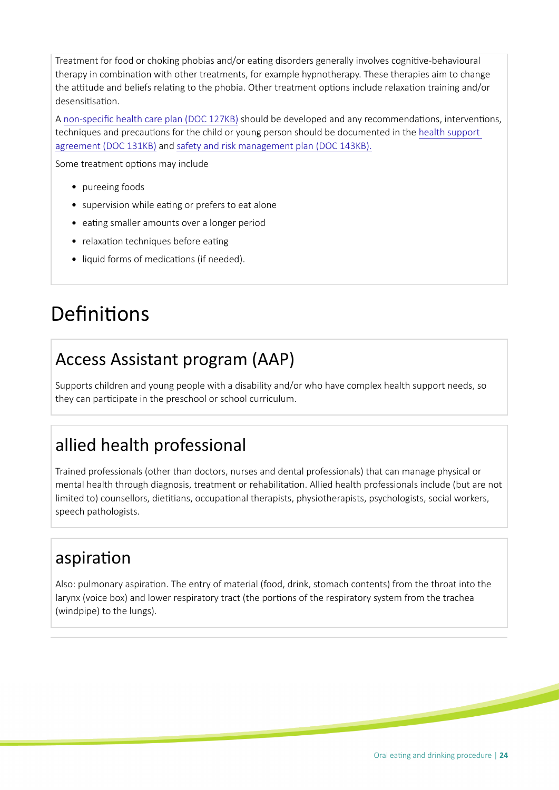Treatment for food or choking phobias and/or eatng disorders generally involves cognitve-behavioural therapy in combination with other treatments, for example hypnotherapy. These therapies aim to change the attitude and beliefs relating to the phobia. Other treatment options include relaxation training and/or desensitsaton.

A non-specific health care plan (DOC 127KB) should be developed and any recommendations, interventions, techniques and precautons for the child or young person should be documented in the [health support](https://www.education.sa.gov.au/sites/default/files/hsp120-health-support-agreement.docx)  [agreement \(DOC 131KB\)](https://www.education.sa.gov.au/sites/default/files/hsp120-health-support-agreement.docx) and [safety and risk management plan \(DOC 143KB\).](https://www.education.sa.gov.au/sites/g/files/net691/f/hsp121-safety-risk-mgmt-plan.doc)

Some treatment options may include

- pureeing foods
- supervision while eating or prefers to eat alone
- eating smaller amounts over a longer period
- relaxation techniques before eating
- liquid forms of medications (if needed).

# Definitions

### Access Assistant program (AAP)

Supports children and young people with a disability and/or who have complex health support needs, so they can participate in the preschool or school curriculum.

#### allied health professional

Trained professionals (other than doctors, nurses and dental professionals) that can manage physical or mental health through diagnosis, treatment or rehabilitaton. Allied health professionals include (but are not limited to) counsellors, dietitians, occupational therapists, physiotherapists, psychologists, social workers, speech pathologists.

#### aspiration

Also: pulmonary aspiraton. The entry of material (food, drink, stomach contents) from the throat into the larynx (voice box) and lower respiratory tract (the portons of the respiratory system from the trachea (windpipe) to the lungs).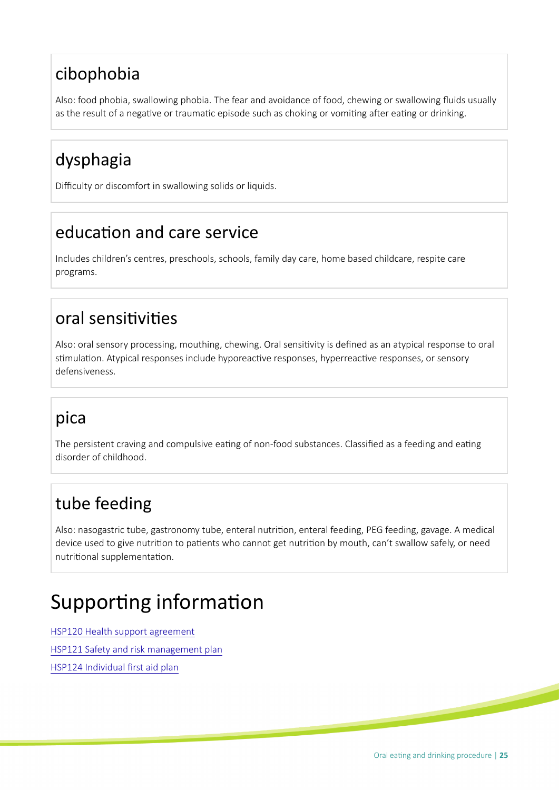## cibophobia

Also: food phobia, swallowing phobia. The fear and avoidance of food, chewing or swallowing fluids usually as the result of a negative or traumatic episode such as choking or vomiting after eating or drinking.

## dysphagia

Difficulty or discomfort in swallowing solids or liquids.

### educaton and care service

Includes children's centres, preschools, schools, family day care, home based childcare, respite care programs.

### oral sensitvites

Also: oral sensory processing, mouthing, chewing. Oral sensitvity is defned as an atypical response to oral stimulation. Atypical responses include hyporeactive responses, hyperreactive responses, or sensory defensiveness.

### pica

The persistent craving and compulsive eating of non-food substances. Classified as a feeding and eating disorder of childhood.

## tube feeding

Also: nasogastric tube, gastronomy tube, enteral nutriton, enteral feeding, PEG feeding, gavage. A medical device used to give nutriton to patents who cannot get nutriton by mouth, can't swallow safely, or need nutritional supplementation.

# Supporting information

[HSP120 Health support agreement](https://www.education.sa.gov.au/sites/default/files/hsp120-health-support-agreement.docx) [HSP121 Safety and risk management plan](https://www.education.sa.gov.au/sites/g/files/net691/f/hsp121-safety-risk-mgmt-plan.doc) HSP124 Individual first aid plan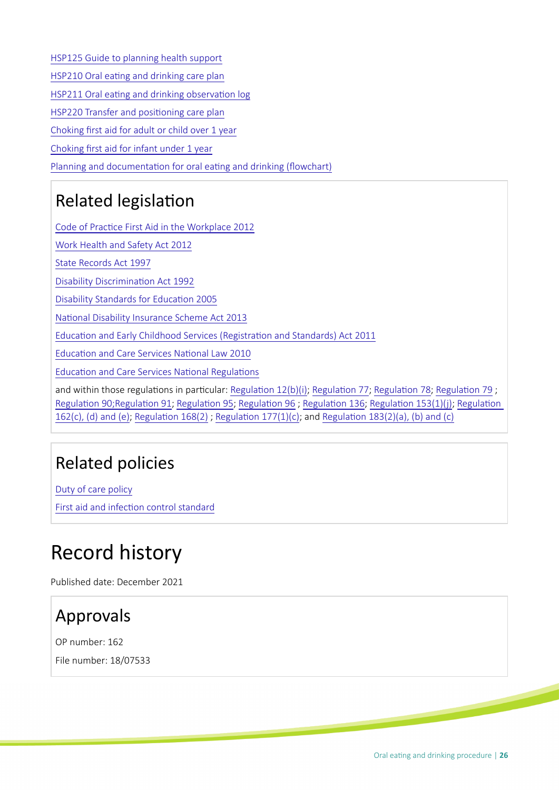[HSP125 Guide to planning health support](https://www.education.sa.gov.au/sites/default/files/hsp125-guide-to-planning-health-support.docx) HSP210 Oral eating and drinking care plan HSP211 Oral eating and drinking observation log [HSP220 Transfer and positoning care plan](https://www.education.sa.gov.au/doc/hsp220-transfer-and-positioning-health-care-plan) [Choking frst aid for adult or child over 1 year](https://stjohn.org.au/assets/uploads/fact%20sheets/english/Fact%20sheets_choking%20adult.pdf) [Choking frst aid for infant under 1 year](https://stjohn.org.au/assets/uploads/fact%20sheets/english/Fact%20sheets_choking%20infant.pdf) Planning and documentation for oral eating and drinking (flowchart)

## Related legislaton

Code of Practice First Aid in the Workplace 2012

[Work Health and Safety Act 2012](https://www.legislation.sa.gov.au/LZ/C/A/WORK%20HEALTH%20AND%20SAFETY%20ACT%202012.aspx)

[State Records Act 1997](https://www.legislation.sa.gov.au/LZ/C/A/STATE%20RECORDS%20ACT%201997.aspx)

Disability Discrimination Act 1992

Disability Standards for Education 2005

National Disability Insurance Scheme Act 2013

Education and Early Childhood Services (Registration and Standards) Act 2011

Education and Care Services National Law 2010

Education and Care Services National Regulations

and within those regulations in particular: Regulation 12(b)(i); Regulation 77; Regulation 78; Regulation 79; Regulation 90;Regulation 91; Regulation 95; Regulation 96; Regulation 136; Regulation 153(1)(j); Regulation [162\(c\), \(d\) and \(e\)](https://www.legislation.nsw.gov.au/#/view/regulation/2011/653/chap4/part4.7/div1/subdiv1/reg.162); [Regulaton 168\(2\)](https://www.legislation.nsw.gov.au/#/view/regulation/2011/653/chap4/part4.7/div2/reg.168) ; [Regulaton 177\(1\)\(c\);](https://www.legislation.nsw.gov.au/#/view/regulation/2011/653/chap4/part4.7/div3/subdiv2/reg.177) and [Regulaton 183\(2\)\(a\), \(b\) and \(c\)](https://www.legislation.nsw.gov.au/#/view/regulation/2011/653/chap4/part4.7/div3/subdiv4/reg.183)

## Related policies

[Duty of care policy](https://edi.sa.edu.au/library/document-library/controlled-policies/duty-of-care-policy) First aid and infection control standard

# Record history

Published date: December 2021

## Approvals

OP number: 162

File number: 18/07533